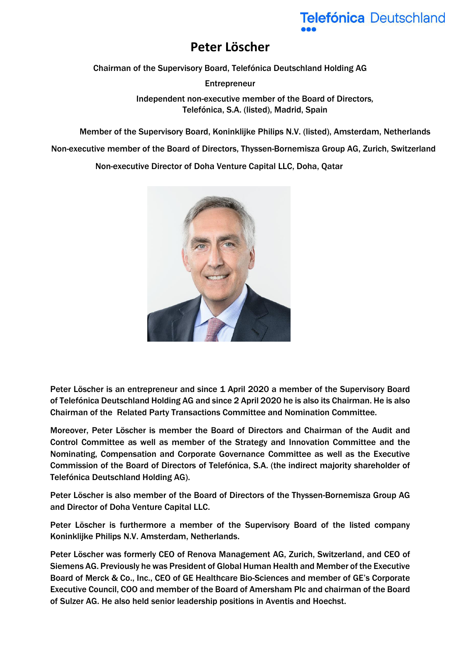## Telefónica Deutschland

## **Peter Löscher**

Chairman of the Supervisory Board, Telefónica Deutschland Holding AG

Entrepreneur Independent non-executive member of the Board of Directors*,*  Telefónica, S.A. (listed), Madrid, Spain

Member of the Supervisory Board, Koninklijke Philips N.V. (listed), Amsterdam, Netherlands

Non-executive member of the Board of Directors, Thyssen-Bornemisza Group AG, Zurich, Switzerland

Non-executive Director of Doha Venture Capital LLC, Doha, Qatar



Peter Löscher is an entrepreneur and since 1 April 2020 a member of the Supervisory Board of Telefónica Deutschland Holding AG and since 2 April 2020 he is also its Chairman. He is also Chairman of the Related Party Transactions Committee and Nomination Committee.

Moreover, Peter Löscher is member the Board of Directors and Chairman of the Audit and Control Committee as well as member of the Strategy and Innovation Committee and the [Nominating, Compensation and Corporate Governance](https://www.telefonica.com/web/shareholders-investors/corporate_governance/comnombram) Committee as well as the Executive Commission of the Board of Directors of Telefónica, S.A. (the indirect majority shareholder of Telefónica Deutschland Holding AG).

Peter Löscher is also member of the Board of Directors of the Thyssen-Bornemisza Group AG and Director of Doha Venture Capital LLC.

Peter Löscher is furthermore a member of the Supervisory Board of the listed company Koninklijke Philips N.V. Amsterdam, Netherlands.

Peter Löscher was formerly CEO of Renova Management AG, Zurich, Switzerland, and CEO of Siemens AG. Previously he was President of Global Human Health and Member of the Executive Board of Merck & Co., Inc., CEO of GE Healthcare Bio-Sciences and member of GE's Corporate Executive Council, COO and member of the Board of Amersham Plc and chairman of the Board of Sulzer AG. He also held senior leadership positions in Aventis and Hoechst.